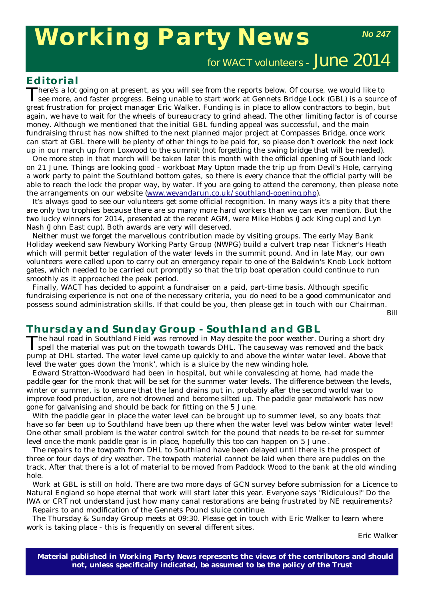# **Working Party News**

*No 247*

for WACT volunteers - June 2014

#### **Editorial**

There's a lot going on at present, as you will see from the reports below. Of course, we would like to see more, and faster progress. Being unable to start work at Gennets Bridge Lock (GBL) is a source of great frustration for project manager Eric Walker. Funding is in place to allow contractors to begin, but again, we have to wait for the wheels of bureaucracy to grind ahead. The other limiting factor is of course money. Although we mentioned that the initial GBL funding appeal was successful, and the main fundraising thrust has now shifted to the next planned major project at Compasses Bridge, once work can start at GBL there will be plenty of other things to be paid for, so please don't overlook the next lock up in our march up from Loxwood to the summit (not forgetting the swing bridge that will be needed).

One more step in that march will be taken later this month with the official opening of Southland lock on 21 June. Things are looking good - workboat *May Upton* made the trip up from Devil's Hole, carrying a work party to paint the Southland bottom gates, so there is every chance that the official party will be able to reach the lock the proper way, by water. If you are going to attend the ceremony, then please note the arrangements on our website (www.weyandarun.co.uk/southland-opening.php).

It's always good to see our volunteers get some official recognition. In many ways it's a pity that there are only two trophies because there are so many more hard workers than we can ever mention. But the two lucky winners for 2014, presented at the recent AGM, were Mike Hobbs (Jack King cup) and Lyn Nash (John East cup). Both awards are very will deserved.

Neither must we forget the marvellous contribution made by visiting groups. The early May Bank Holiday weekend saw Newbury Working Party Group (NWPG) build a culvert trap near Tickner's Heath which will permit better regulation of the water levels in the summit pound. And in late May, our own volunteers were called upon to carry out an emergency repair to one of the Baldwin's Knob Lock bottom gates, which needed to be carried out promptly so that the trip boat operation could continue to run smoothly as it approached the peak period.

Finally, WACT has decided to appoint a fundraiser on a paid, part-time basis. Although specific fundraising experience is not one of the necessary criteria, you do need to be a good communicator and possess sound administration skills. If that could be you, then please get in touch with our Chairman.

*Bill*

### **Thursday and Sunday Group - Southland and GBL**

The haul road in Southland Field was removed in May despite the poor weather. During a short dry spell the material was put on the towpath towards DHL. The causeway was removed and the back pump at DHL started. The water level came up quickly to and above the winter water level. Above that level the water goes down the 'monk', which is a sluice by the new winding hole.

Edward Stratton-Woodward had been in hospital, but while convalescing at home, had made the paddle gear for the monk that will be set for the summer water levels. The difference between the levels, winter or summer, is to ensure that the land drains put in, probably after the second world war to improve food production, are not drowned and become silted up. The paddle gear metalwork has now gone for galvanising and should be back for fitting on the 5 June.

With the paddle gear in place the water level can be brought up to summer level, so any boats that have so far been up to Southland have been up there when the water level was below winter water level! One other small problem is the water control switch for the pound that needs to be re-set for summer level once the monk paddle gear is in place, hopefully this too can happen on 5 June .

The repairs to the towpath from DHL to Southland have been delayed until there is the prospect of three or four days of dry weather. The towpath material cannot be laid when there are puddles on the track. After that there is a lot of material to be moved from Paddock Wood to the bank at the old winding hole.

Work at GBL is still on hold. There are two more days of GCN survey before submission for a Licence to Natural England so hope eternal that work will start later this year. Everyone says "Ridiculous!" Do the IWA or CRT not understand just how many canal restorations are being frustrated by NE requirements? Repairs to and modification of the Gennets Pound sluice continue.

The Thursday & Sunday Group meets at 09:30. Please get in touch with Eric Walker to learn where work is taking place - this is frequently on several different sites.

*Eric Walk*er

**Material published in** *Working Party News* **represents the views of the contributors and should not, unless specifically indicated, be assumed to be the policy of the Trust**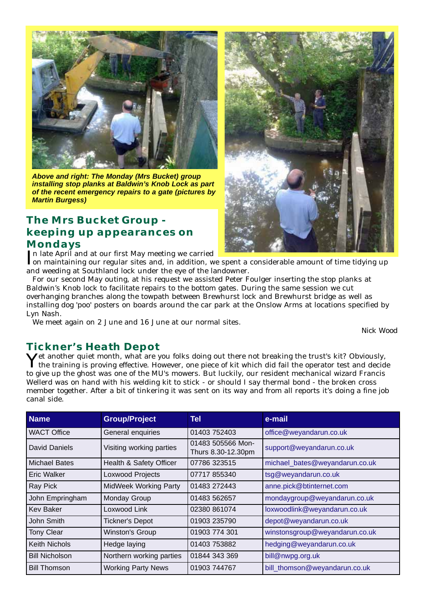

*Above and right: The Monday (Mrs Bucket) group installing stop planks at Baldwin's Knob Lock as part of the recent emergency repairs to a gate (pictures by Martin Burgess)*

# **The Mrs Bucket Group keeping up appearances on Mondays**

In late April and at our first May meeting we carried<br>Ion maintaining our regular sites and, in addition, w on maintaining our regular sites and, in addition, we spent a considerable amount of time tidying up and weeding at Southland lock under the eye of the landowner.

For our second May outing, at his request we assisted Peter Foulger inserting the stop planks at Baldwin's Knob lock to facilitate repairs to the bottom gates. During the same session we cut overhanging branches along the towpath between Brewhurst lock and Brewhurst bridge as well as installing dog 'poo' posters on boards around the car park at the Onslow Arms at locations specified by Lyn Nash.

We meet again on 2 June and 16 June at our normal sites.

### **Tickner's Heath Depot**

Yet another quiet month, what are you folks doing out there not breaking the trust's kit? Obviously, the training is proving effective. However, one piece of kit which did fail the operator test and decide to give up the ghost was one of the MU's mowers. But luckily, our resident mechanical wizard Francis Wellerd was on hand with his welding kit to stick - or should I say thermal bond - the broken cross member together. After a bit of tinkering it was sent on its way and from all reports it's doing a fine job canal side.

| <b>Name</b>           | <b>Group/Project</b>         | <b>Tel</b>                              | e-mail                         |
|-----------------------|------------------------------|-----------------------------------------|--------------------------------|
| <b>WACT Office</b>    | General enquiries            | 01403 752403                            | office@weyandarun.co.uk        |
| David Daniels         | Visiting working parties     | 01483 505566 Mon-<br>Thurs 8.30-12.30pm | support@weyandarun.co.uk       |
| <b>Michael Bates</b>  | Health & Safety Officer      | 07786 323515                            | michael_bates@weyandarun.co.uk |
| Eric Walker           | Loxwood Projects             | 07717 855340                            | tsg@weyandarun.co.uk           |
| Ray Pick              | <b>MidWeek Working Party</b> | 01483 272443                            | anne.pick@btinternet.com       |
| John Empringham       | Monday Group                 | 01483 562657                            | mondaygroup@weyandarun.co.uk   |
| <b>Kev Baker</b>      | Loxwood Link                 | 02380 861074                            | loxwoodlink@weyandarun.co.uk   |
| John Smith            | <b>Tickner's Depot</b>       | 01903 235790                            | depot@weyandarun.co.uk         |
| <b>Tony Clear</b>     | Winston's Group              | 01903 774 301                           | winstonsgroup@weyandarun.co.uk |
| <b>Keith Nichols</b>  | Hedge laying                 | 01403 753882                            | hedging@weyandarun.co.uk       |
| <b>Bill Nicholson</b> | Northern working parties     | 01844 343 369                           | bill@nwpg.org.uk               |
| <b>Bill Thomson</b>   | <b>Working Party News</b>    | 01903 744767                            | bill thomson@weyandarun.co.uk  |



*Nick Wood*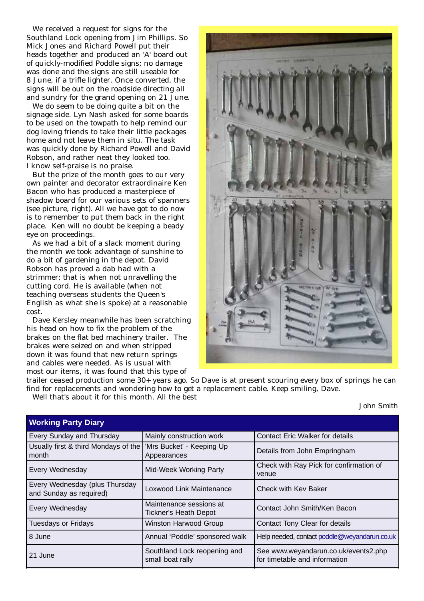We received a request for signs for the Southland Lock opening from Jim Phillips. So Mick Jones and Richard Powell put their heads together and produced an 'A' board out of quickly-modified Poddle signs; no damage was done and the signs are still useable for 8 June, if a trifle lighter. Once converted, the signs will be out on the roadside directing all and sundry for the grand opening on 21 June.

We do seem to be doing quite a bit on the signage side. Lyn Nash asked for some boards to be used on the towpath to help remind our dog loving friends to take their little packages home and not leave them in situ. The task was quickly done by Richard Powell and David Robson, and rather neat they looked too. I know self-praise is no praise.

But the prize of the month goes to our very own painter and decorator extraordinaire Ken Bacon who has produced a masterpiece of shadow board for our various sets of spanners (see picture, right). All we have got to do now is to remember to put them back in the right place. Ken will no doubt be keeping a beady eye on proceedings.

As we had a bit of a slack moment during the month we took advantage of sunshine to do a bit of gardening in the depot. David Robson has proved a dab had with a strimmer; that is when not unravelling the cutting cord. He is available (when not teaching overseas students the Queen's English as what she is spoke) at a reasonable cost.

Dave Kersley meanwhile has been scratching his head on how to fix the problem of the brakes on the flat bed machinery trailer. The brakes were seized on and when stripped down it was found that new return springs and cables were needed. As is usual with most our items, it was found that this type of



trailer ceased production some 30+ years ago. So Dave is at present scouring every box of springs he can find for replacements and wondering how to get a replacement cable. Keep smiling, Dave. Well that's about it for this month. All the best

*John Smith*

| <b>Working Party Diary</b>                                                |                                                         |                                                                       |  |  |
|---------------------------------------------------------------------------|---------------------------------------------------------|-----------------------------------------------------------------------|--|--|
| Every Sunday and Thursday                                                 | Mainly construction work                                | <b>Contact Eric Walker for details</b>                                |  |  |
| Usually first & third Mondays of the   'Mrs Bucket' - Keeping Up<br>month | Appearances                                             | Details from John Empringham                                          |  |  |
| Every Wednesday                                                           | <b>Mid-Week Working Party</b>                           | Check with Ray Pick for confirmation of<br>venue                      |  |  |
| Every Wednesday (plus Thursday<br>and Sunday as required)                 | Loxwood Link Maintenance                                | Check with Kev Baker                                                  |  |  |
| Every Wednesday                                                           | Maintenance sessions at<br><b>Tickner's Heath Depot</b> | Contact John Smith/Ken Bacon                                          |  |  |
| <b>Tuesdays or Fridays</b>                                                | Winston Harwood Group                                   | Contact Tony Clear for details                                        |  |  |
| 8 June                                                                    | Annual 'Poddle' sponsored walk                          | Help needed, contact poddle@weyandarun.co.uk                          |  |  |
| 21 June                                                                   | Southland Lock reopening and<br>small boat rally        | See www.weyandarun.co.uk/events2.php<br>for timetable and information |  |  |